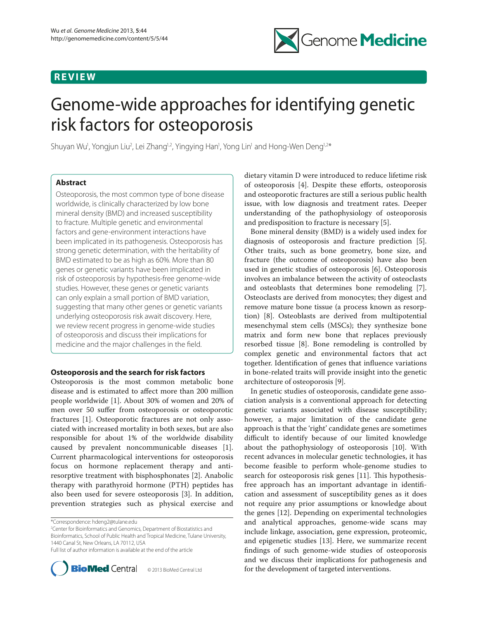## **R E V I E W**



# Genome-wide approaches for identifying genetic risk factors for osteoporosis

Shuyan Wu<sup>1</sup>, Yongjun Liu<sup>2</sup>, Lei Zhang<sup>1,2</sup>, Yingying Han<sup>1</sup>, Yong Lin<sup>1</sup> and Hong-Wen Deng<sup>1,2\*</sup>

## **Abstract**

Osteoporosis, the most common type of bone disease worldwide, is clinically characterized by low bone mineral density (BMD) and increased susceptibility to fracture. Multiple genetic and environmental factors and gene-environment interactions have been implicated in its pathogenesis. Osteoporosis has strong genetic determination, with the heritability of BMD estimated to be as high as 60%. More than 80 genes or genetic variants have been implicated in risk of osteoporosis by hypothesis-free genome-wide studies. However, these genes or genetic variants can only explain a small portion of BMD variation, suggesting that many other genes or genetic variants underlying osteoporosis risk await discovery. Here, we review recent progress in genome-wide studies of osteoporosis and discuss their implications for medicine and the major challenges in the field.

## **Osteoporosis and the search for risk factors**

Osteoporosis is the most common metabolic bone disease and is estimated to affect more than 200 million people worldwide [1]. About 30% of women and 20% of men over 50 suffer from osteoporosis or osteoporotic fractures [1]. Osteoporotic fractures are not only associated with increased mortality in both sexes, but are also responsible for about 1% of the worldwide disability caused by prevalent noncommunicable diseases [1]. Current pharmacological interventions for osteoporosis focus on hormone replacement therapy and antiresorptive treatment with bisphosphonates [2]. Anabolic therapy with parathyroid hormone (PTH) peptides has also been used for severe osteoporosis [3]. In addition, prevention strategies such as physical exercise and

2 Center for Bioinformatics and Genomics, Department of Biostatistics and Bioinformatics, School of Public Health and Tropical Medicine, Tulane University, 1440 Canal St, New Orleans, LA 70112, USA Full list of author information is available at the end of the article



© 2013 BioMed Central Ltd

dietary vitamin D were introduced to reduce lifetime risk of osteoporosis  $[4]$ . Despite these efforts, osteoporosis and osteoporotic fractures are still a serious public health issue, with low diagnosis and treatment rates. Deeper understanding of the pathophysiology of osteoporosis and predisposition to fracture is necessary [5].

Bone mineral density (BMD) is a widely used index for diagnosis of osteoporosis and fracture prediction [5]. Other traits, such as bone geometry, bone size, and fracture (the outcome of osteoporosis) have also been used in genetic studies of osteoporosis [6]. Osteoporosis involves an imbalance between the activity of osteoclasts and osteoblasts that determines bone remodeling [7]. Osteoclasts are derived from monocytes; they digest and remove mature bone tissue (a process known as resorption) [8]. Osteoblasts are derived from multipotential mesenchymal stem cells (MSCs); they synthesize bone matrix and form new bone that replaces previously resorbed tissue [8]. Bone remodeling is controlled by complex genetic and environmental factors that act together. Identification of genes that influence variations in bone-related traits will provide insight into the genetic architecture of osteoporosis [9].

In genetic studies of osteoporosis, candidate gene association analysis is a conventional approach for detecting genetic variants associated with disease susceptibility; however, a major limitation of the candidate gene approach is that the 'right' candidate genes are sometimes difficult to identify because of our limited knowledge about the pathophysiology of osteoporosis [10]. With recent advances in molecular genetic technologies, it has become feasible to perform whole-genome studies to search for osteoporosis risk genes [11]. This hypothesisfree approach has an important advantage in identification and assessment of susceptibility genes as it does not require any prior assumptions or knowledge about the genes [12]. Depending on experimental technologies and analytical approaches, genome-wide scans may include linkage, association, gene expression, proteomic, and epigenetic studies [13]. Here, we summarize recent findings of such genome-wide studies of osteoporosis and we discuss their implications for pathogenesis and for the development of targeted interventions.

<sup>\*</sup>Correspondence: hdeng2@tulane.edu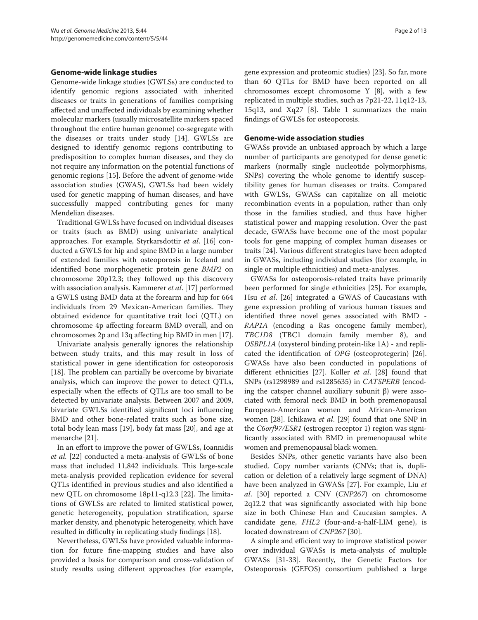## **Genome-wide linkage studies**

Genome-wide linkage studies (GWLSs) are conducted to identify genomic regions associated with inherited diseases or traits in generations of families comprising affected and unaffected individuals by examining whether molecular markers (usually microsatellite markers spaced throughout the entire human genome) co-segregate with the diseases or traits under study [14]. GWLSs are designed to identify genomic regions contributing to predisposition to complex human diseases, and they do not require any information on the potential functions of genomic regions [15]. Before the advent of genome-wide association studies (GWAS), GWLSs had been widely used for genetic mapping of human diseases, and have successfully mapped contributing genes for many Mendelian diseases.

Traditional GWLSs have focused on individual diseases or traits (such as BMD) using univariate analytical approaches. For example, Styrkarsdottir *et al*. [16] conducted a GWLS for hip and spine BMD in a large number of extended families with osteoporosis in Iceland and identified bone morphogenetic protein gene *BMP2* on chromosome 20p12.3; they followed up this discovery with association analysis. Kammerer *et al*. [17] performed a GWLS using BMD data at the forearm and hip for 664 individuals from 29 Mexican-American families. They obtained evidence for quantitative trait loci (QTL) on chromosome 4p affecting forearm BMD overall, and on chromosomes 2p and 13q affecting hip BMD in men [17].

Univariate analysis generally ignores the relationship between study traits, and this may result in loss of statistical power in gene identification for osteoporosis [18]. The problem can partially be overcome by bivariate analysis, which can improve the power to detect QTLs, especially when the effects of QTLs are too small to be detected by univariate analysis. Between 2007 and 2009, bivariate GWLSs identified significant loci influencing BMD and other bone-related traits such as bone size, total body lean mass [19], body fat mass [20], and age at menarche [21].

In an effort to improve the power of GWLSs, Ioannidis *et al.* [22] conducted a meta-analysis of GWLSs of bone mass that included 11,842 individuals. This large-scale meta-analysis provided replication evidence for several QTLs identified in previous studies and also identified a new QTL on chromosome 18p11-q12.3 [22]. The limitations of GWLSs are related to limited statistical power, genetic heterogeneity, population stratification, sparse marker density, and phenotypic heterogeneity, which have resulted in difficulty in replicating study findings [18].

Nevertheless, GWLSs have provided valuable information for future fine-mapping studies and have also provided a basis for comparison and cross-validation of study results using different approaches (for example, gene expression and proteomic studies) [23]. So far, more than 60 QTLs for BMD have been reported on all chromosomes except chromosome Y [8], with a few replicated in multiple studies, such as 7p21-22, 11q12-13, 15q13, and Xq27 [8]. Table 1 summarizes the main findings of GWLSs for osteoporosis.

## **Genome-wide association studies**

GWASs provide an unbiased approach by which a large number of participants are genotyped for dense genetic markers (normally single nucleotide polymorphisms, SNPs) covering the whole genome to identify susceptibility genes for human diseases or traits. Compared with GWLSs, GWASs can capitalize on all meiotic recombination events in a population, rather than only those in the families studied, and thus have higher statistical power and mapping resolution. Over the past decade, GWASs have become one of the most popular tools for gene mapping of complex human diseases or traits [24]. Various different strategies have been adopted in GWASs, including individual studies (for example, in single or multiple ethnicities) and meta-analyses.

GWASs for osteoporosis-related traits have primarily been performed for single ethnicities [25]. For example, Hsu *et al*. [26] integrated a GWAS of Caucasians with gene expression profiling of various human tissues and identified three novel genes associated with BMD - *RAP1A* (encoding a Ras oncogene family member), *TBC1D8* (TBC1 domain family member 8), and *OSBPL1A* (oxysterol binding protein-like 1A) - and replicated the identification of *OPG* (osteoprotegerin) [26]. GWASs have also been conducted in populations of different ethnicities [27]. Koller *et al*. [28] found that SNPs (rs1298989 and rs1285635) in *CATSPERB* (encoding the catsper channel auxiliary subunit β) were associated with femoral neck BMD in both premenopausal European-American women and African-American women [28]. Ichikawa *et al*. [29] found that one SNP in the *C6orf97/ESR1* (estrogen receptor 1) region was significantly associated with BMD in premenopausal white women and premenopausal black women.

Besides SNPs, other genetic variants have also been studied. Copy number variants (CNVs; that is, duplication or deletion of a relatively large segment of DNA) have been analyzed in GWASs [27]. For example, Liu *et al*. [30] reported a CNV (*CNP267*) on chromosome 2q12.2 that was significantly associated with hip bone size in both Chinese Han and Caucasian samples. A candidate gene, *FHL2* (four-and-a-half-LIM gene), is located downstream of *CNP267* [30].

A simple and efficient way to improve statistical power over individual GWASs is meta-analysis of multiple GWASs [31-33]. Recently, the Genetic Factors for Osteoporosis (GEFOS) consortium published a large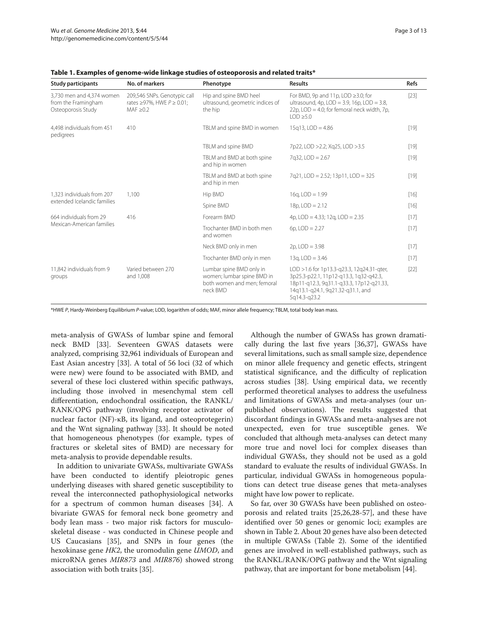| <b>Study participants</b>                                              | No. of markers                                                                          | Phenotype                                                                                                                                                                                                                                                                                                                         | <b>Results</b>                                                                                                                                     | Refs   |
|------------------------------------------------------------------------|-----------------------------------------------------------------------------------------|-----------------------------------------------------------------------------------------------------------------------------------------------------------------------------------------------------------------------------------------------------------------------------------------------------------------------------------|----------------------------------------------------------------------------------------------------------------------------------------------------|--------|
| 3,730 men and 4,374 women<br>from the Framingham<br>Osteoporosis Study | 209,546 SNPs. Genotypic call<br>rates $\geq$ 97%, HWE $P \geq 0.01$ ;<br>MAF $\geq$ 0.2 | Hip and spine BMD heel<br>ultrasound, geometric indices of<br>the hip                                                                                                                                                                                                                                                             | For BMD, 9p and 11p, LOD $\geq$ 3.0; for<br>ultrasound, 4p, LOD = 3.9, 16p, LOD = 3.8,<br>22p, LOD = 4.0; for femoral neck width, 7p,<br>10D > 5.0 | $[23]$ |
| 4,498 individuals from 451<br>pedigrees                                | 410                                                                                     | TBLM and spine BMD in women                                                                                                                                                                                                                                                                                                       | $15q13$ , $LOD = 4.86$                                                                                                                             | $[19]$ |
|                                                                        |                                                                                         | TBLM and spine BMD                                                                                                                                                                                                                                                                                                                | 7p22, LOD > 2.2; Xg25, LOD > 3.5                                                                                                                   | $[19]$ |
|                                                                        |                                                                                         | TBLM and BMD at both spine<br>and hip in women                                                                                                                                                                                                                                                                                    | $7q32$ , LOD = $2.67$                                                                                                                              | $[19]$ |
|                                                                        |                                                                                         | TBLM and BMD at both spine<br>and hip in men                                                                                                                                                                                                                                                                                      | 7q21, LOD = 2.52; 13p11, LOD = 325                                                                                                                 | $[19]$ |
| 1.323 individuals from 207                                             | 1.100                                                                                   | Hip BMD                                                                                                                                                                                                                                                                                                                           | $16q$ , $LOD = 1.99$                                                                                                                               | $[16]$ |
| extended Icelandic families                                            |                                                                                         | $18p,$ LOD = 2.12<br>Spine BMD<br>Forearm BMD<br>4p, $LOD = 4.33$ ; 12g, $LOD = 2.35$<br>Trochanter BMD in both men<br>$6p,$ LOD = 2.27<br>and women<br>$2p$ , $LOD = 3.98$<br>Neck BMD only in men<br>Trochanter BMD only in men<br>$13q$ , LOD = 3.46<br>Lumbar spine BMD only in<br>LOD > 1.6 for 1p13.3-g23.3, 12g24.31-gter, | $[16]$                                                                                                                                             |        |
| 664 individuals from 29                                                | 416                                                                                     |                                                                                                                                                                                                                                                                                                                                   |                                                                                                                                                    | $[17]$ |
| Mexican-American families                                              |                                                                                         |                                                                                                                                                                                                                                                                                                                                   |                                                                                                                                                    | $[17]$ |
|                                                                        |                                                                                         |                                                                                                                                                                                                                                                                                                                                   |                                                                                                                                                    | $[17]$ |
|                                                                        |                                                                                         |                                                                                                                                                                                                                                                                                                                                   |                                                                                                                                                    | $[17]$ |
| 11,842 individuals from 9<br>groups                                    | Varied between 270<br>and 1,008                                                         | women; lumbar spine BMD in<br>both women and men; femoral<br>neck BMD                                                                                                                                                                                                                                                             | 3p25.3-p22.1, 11p12-q13.3, 1q32-q42.3,<br>18p11-q12.3, 9q31.1-q33.3, 17p12-q21.33,<br>14q13.1-q24.1, 9q21.32-q31.1, and<br>5q14.3-q23.2            | $[22]$ |

**Table 1. Examples of genome-wide linkage studies of osteoporosis and related traits\***

\*HWE *P*, Hardy-Weinberg Equilibrium *P*-value; LOD, logarithm of odds; MAF, minor allele frequency; TBLM, total body lean mass.

meta-analysis of GWASs of lumbar spine and femoral neck BMD [33]. Seventeen GWAS datasets were analyzed, comprising 32,961 individuals of European and East Asian ancestry [33]. A total of 56 loci (32 of which were new) were found to be associated with BMD, and several of these loci clustered within specific pathways, including those involved in mesenchymal stem cell differentiation, endochondral ossification, the RANKL/ RANK/OPG pathway (involving receptor activator of nuclear factor (NF)-κB, its ligand, and osteoprotegerin) and the Wnt signaling pathway [33]. It should be noted that homogeneous phenotypes (for example, types of fractures or skeletal sites of BMD) are necessary for meta-analysis to provide dependable results.

In addition to univariate GWASs, multivariate GWASs have been conducted to identify pleiotropic genes underlying diseases with shared genetic susceptibility to reveal the interconnected pathophysiological networks for a spectrum of common human diseases [34]. A bivariate GWAS for femoral neck bone geometry and body lean mass - two major risk factors for musculoskeletal disease - was conducted in Chinese people and US Caucasians [35], and SNPs in four genes (the hexokinase gene *HK2*, the uromodulin gene *UMOD*, and microRNA genes *MIR873* and *MIR876*) showed strong association with both traits [35].

Although the number of GWASs has grown dramatically during the last five years [36,37], GWASs have several limitations, such as small sample size, dependence on minor allele frequency and genetic effects, stringent statistical significance, and the difficulty of replication across studies [38]. Using empirical data, we recently performed theoretical analyses to address the usefulness and limitations of GWASs and meta-analyses (our unpublished observations). The results suggested that discordant findings in GWASs and meta-analyses are not unexpected, even for true susceptible genes. We concluded that although meta-analyses can detect many more true and novel loci for complex diseases than individual GWASs, they should not be used as a gold standard to evaluate the results of individual GWASs. In particular, individual GWASs in homogeneous populations can detect true disease genes that meta-analyses might have low power to replicate.

So far, over 30 GWASs have been published on osteoporosis and related traits [25,26,28-57], and these have identified over 50 genes or genomic loci; examples are shown in Table 2. About 20 genes have also been detected in multiple GWASs (Table 2). Some of the identified genes are involved in well-established pathways, such as the RANKL/RANK/OPG pathway and the Wnt signaling pathway, that are important for bone metabolism [44].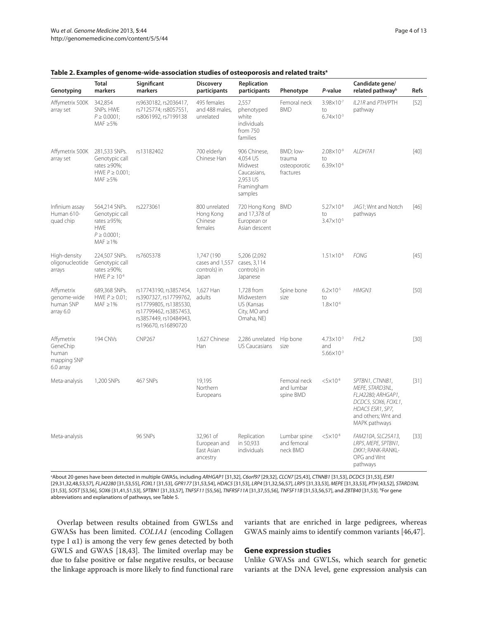| Genotyping                                                  | <b>Total</b><br>markers                                                                                 | Significant<br>markers                                                                                                                                        | <b>Discovery</b><br>participants                       | Replication<br>participants                                                             | Phenotype                                        | P-value                                               | Candidate gene/<br>related pathway <sup>b</sup>                                                                                             | <b>Refs</b> |
|-------------------------------------------------------------|---------------------------------------------------------------------------------------------------------|---------------------------------------------------------------------------------------------------------------------------------------------------------------|--------------------------------------------------------|-----------------------------------------------------------------------------------------|--------------------------------------------------|-------------------------------------------------------|---------------------------------------------------------------------------------------------------------------------------------------------|-------------|
| Affymetrix 500K<br>array set                                | 342,854<br>SNPs. HWE<br>$P \ge 0.0001$ ;<br>MAF $\geq$ 5%                                               | rs9630182, rs2036417,<br>rs7125774; rs8057551,<br>rs8061992, rs7199138                                                                                        | 495 females<br>and 488 males,<br>unrelated             | 2,557<br>phenotyped<br>white<br>individuals<br>from 750<br>families                     | Femoral neck<br><b>BMD</b>                       | 3.98×10 <sup>-7</sup><br>to<br>$6.74 \times 10^{-3}$  | IL21R and PTH/PTH<br>pathway                                                                                                                | $[52]$      |
| Affymetrix 500K<br>array set                                | 281,533 SNPs.<br>Genotypic call<br>rates $\geq 90\%$ ;<br>HWE $P \geq 0.001$ ;<br>MAF $\geq$ 5%         | rs13182402                                                                                                                                                    | 700 elderly<br>Chinese Han                             | 906 Chinese,<br>4,054 US<br>Midwest<br>Caucasians,<br>2.953 US<br>Framingham<br>samples | BMD; low-<br>trauma<br>osteoporotic<br>fractures | $2.08 \times 10^{-9}$<br>to<br>$6.39 \times 10^{-6}$  | ALDH7A1                                                                                                                                     | $[40]$      |
| Infinium assay<br>Human 610-<br>quad chip                   | 564,214 SNPs.<br>Genotypic call<br>rates $\geq$ 95%;<br><b>HWE</b><br>$P \ge 0.0001$ ;<br>MAF $\geq$ 1% | rs2273061                                                                                                                                                     | 800 unrelated<br>Hong Kong<br>Chinese<br>females       | 720 Hong Kong BMD<br>and 17,378 of<br>European or<br>Asian descent                      |                                                  | $5.27 \times 10^{-8}$<br>to<br>3.47×10-5              | JAG1; Wnt and Notch<br>pathways                                                                                                             | $[46]$      |
| High-density<br>oligonucleotide<br>arrays                   | 224,507 SNPs.<br>Genotypic call<br>rates $\geq$ 90%;<br>HWE $P \ge 10^{-6}$                             | rs7605378                                                                                                                                                     | 1,747 (190<br>cases and 1,557<br>controls) in<br>Japan | 5,206 (2,092<br>cases, 3,114<br>controls) in<br>Japanese                                |                                                  | $1.51\times10^{-8}$                                   | <b>FONG</b>                                                                                                                                 | $[45]$      |
| Affymetrix<br>genome-wide<br>human SNP<br>array 6.0         | 689,368 SNPs.<br>HWE $P \geq 0.01$ ;<br>MAF $\geq$ 1%                                                   | rs17743190, rs3857454,<br>rs3907327, rs17799762, adults<br>rs17799805, rs1385530,<br>rs17799462, rs3857453,<br>rs3857449, rs10484943,<br>rs196670, rs16890720 | 1,627 Han                                              | 1,728 from<br>Midwestern<br>US (Kansas<br>City, MO and<br>Omaha, NE)                    | Spine bone<br>size                               | $6.2 \times 10^{-5}$<br>to<br>$1.8 \times 10^{-6}$    | HMGN3                                                                                                                                       | [50]        |
| Affymetrix<br>GeneChip<br>human<br>mapping SNP<br>6.0 array | 194 CNVs                                                                                                | <b>CNP267</b>                                                                                                                                                 | 1,627 Chinese<br>Han                                   | 2,286 unrelated<br><b>US Caucasians</b>                                                 | Hip bone<br>size                                 | $4.73 \times 10^{-3}$<br>and<br>$5.66 \times 10^{-3}$ | FHL <sub>2</sub>                                                                                                                            | $[30]$      |
| Meta-analysis                                               | 1.200 SNPs                                                                                              | 467 SNPs                                                                                                                                                      | 19.195<br>Northern<br>Europeans                        |                                                                                         | Femoral neck<br>and lumbar<br>spine BMD          | $< 5 \times 10^{-8}$                                  | SPTBN1, CTNNB1,<br>MEPE, STARD3NL,<br>FLJ42280; ARHGAP1,<br>DCDC5, SOX6, FOXL1,<br>HDAC5 ESR1, SP7,<br>and others; Wnt and<br>MAPK pathways | $[31]$      |
| Meta-analysis                                               |                                                                                                         | 96 SNPs                                                                                                                                                       | 32,961 of<br>European and<br>East Asian<br>ancestry    | Replication<br>in 50,933<br>individuals                                                 | Lumbar spine<br>and femoral<br>neck BMD          | $< 5 \times 10^{-8}$                                  | FAM210A, SLC25A13,<br>LRP5, MEPE, SPTBN1,<br>DKK1; RANK-RANKL-<br>OPG and Wnt<br>pathways                                                   | $[33]$      |

#### **Table 2. Examples of genome-wide-association studies of osteoporosis and related traitsa**

a About 20 genes have been detected in multiple GWASs, including *ARHGAP1* [31,32], *C6orf97* [29,32], *CLCN7* [25,43], *CTNNB1* [31,53], *DCDC5* [31,53], *ESR1* [29,31,32,48,53,57], FLJ42280 [31,53,55], FOXL1 [31,53], GPR177 [31,53,54], HDAC5 [31,53], LRP4 [31,32,56,57], LRP5 [31,33,53], MEPE [31,33,53], PTH [43,52], STARD3NL [31,53], *SOST* [53,56], *SOX6* [31,41,51,53], *SPTBN1* [31,33,57], *TNFSF11* [55,56], *TNFRSF11A* [31,37,55,56], *TNFSF11B* [31,53,56,57], and *ZBTB40* [31,53]. b For gene abbreviations and explanations of pathways, see Table 5.

Overlap between results obtained from GWLSs and GWASs has been limited. *COL1A1* (encoding Collagen type I α1) is among the very few genes detected by both GWLS and GWAS [18,43]. The limited overlap may be due to false positive or false negative results, or because the linkage approach is more likely to find functional rare variants that are enriched in large pedigrees, whereas GWAS mainly aims to identify common variants [46,47].

#### **Gene expression studies**

Unlike GWASs and GWLSs, which search for genetic variants at the DNA level, gene expression analysis can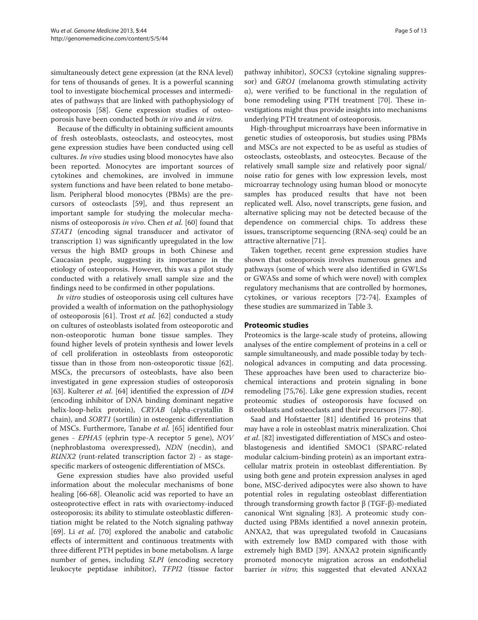simultaneously detect gene expression (at the RNA level) for tens of thousands of genes. It is a powerful scanning tool to investigate biochemical processes and intermediates of pathways that are linked with pathophysiology of osteoporosis [58]. Gene expression studies of osteoporosis have been conducted both *in vivo* and *in vitro*.

Because of the difficulty in obtaining sufficient amounts of fresh osteoblasts, osteoclasts, and osteocytes, most gene expression studies have been conducted using cell cultures. *In vivo* studies using blood monocytes have also been reported. Monocytes are important sources of cytokines and chemokines, are involved in immune system functions and have been related to bone metabolism. Peripheral blood monocytes (PBMs) are the precursors of osteoclasts [59], and thus represent an important sample for studying the molecular mechanisms of osteoporosis *in vivo*. Chen *et al.* [60] found that *STAT1* (encoding signal transducer and activator of transcription 1) was significantly upregulated in the low versus the high BMD groups in both Chinese and Caucasian people, suggesting its importance in the etiology of osteoporosis. However, this was a pilot study conducted with a relatively small sample size and the findings need to be confirmed in other populations.

*In vitro* studies of osteoporosis using cell cultures have provided a wealth of information on the pathophysiology of osteoporosis [61]. Trost *et al*. [62] conducted a study on cultures of osteoblasts isolated from osteoporotic and non-osteoporotic human bone tissue samples. They found higher levels of protein synthesis and lower levels of cell proliferation in osteoblasts from osteoporotic tissue than in those from non-osteoporotic tissue [62]. MSCs, the precursors of osteoblasts, have also been investigated in gene expression studies of osteoporosis [63]. Kulterer *et al*. [64] identified the expression of *ID4*  (encoding inhibitor of DNA binding dominant negative helix-loop-helix protein), *CRYAB* (alpha-crystallin B chain), and *SORT1* (sortilin) in osteogenic differentiation of MSCs. Furthermore, Tanabe *et al.* [65] identified four genes - *EPHA5* (ephrin type-A receptor 5 gene), *NOV* (nephroblastoma overexpressed), *NDN* (necdin), and *RUNX2* (runt-related transcription factor 2) - as stagespecific markers of osteogenic differentiation of MSCs.

Gene expression studies have also provided useful information about the molecular mechanisms of bone healing [66-68]. Oleanolic acid was reported to have an osteoprotective effect in rats with ovariectomy-induced osteoporosis; its ability to stimulate osteoblastic differentiation might be related to the Notch signaling pathway [69]. Li *et al*. [70] explored the anabolic and catabolic effects of intermittent and continuous treatments with three different PTH peptides in bone metabolism. A large number of genes, including *slpi* (encoding secretory leukocyte peptidase inhibitor), *TFPI2* (tissue factor pathway inhibitor), *SOCS3* (cytokine signaling suppressor) and *GRO1* (melanoma growth stimulating activity α), were verified to be functional in the regulation of bone remodeling using PTH treatment [70]. These investigations might thus provide insights into mechanisms underlying PTH treatment of osteoporosis.

High-throughput microarrays have been informative in genetic studies of osteoporosis, but studies using PBMs and MSCs are not expected to be as useful as studies of osteoclasts, osteoblasts, and osteocytes. Because of the relatively small sample size and relatively poor signal/ noise ratio for genes with low expression levels, most microarray technology using human blood or monocyte samples has produced results that have not been replicated well. Also, novel transcripts, gene fusion, and alternative splicing may not be detected because of the dependence on commercial chips. To address these issues, transcriptome sequencing (RNA-seq) could be an attractive alternative [71].

Taken together, recent gene expression studies have shown that osteoporosis involves numerous genes and pathways (some of which were also identified in GWLSs or GWASs and some of which were novel) with complex regulatory mechanisms that are controlled by hormones, cytokines, or various receptors [72-74]. Examples of these studies are summarized in Table 3.

## **Proteomic studies**

Proteomics is the large-scale study of proteins, allowing analyses of the entire complement of proteins in a cell or sample simultaneously, and made possible today by technological advances in computing and data processing. These approaches have been used to characterize biochemical interactions and protein signaling in bone remodeling [75,76]. Like gene expression studies, recent proteomic studies of osteoporosis have focused on osteoblasts and osteoclasts and their precursors [77-80].

Saad and Hofstaetter [81] identified 16 proteins that may have a role in osteoblast matrix mineralization. Choi *et al*. [82] investigated differentiation of MSCs and osteoblastogenesis and identified SMOC1 (SPARC-related modular calcium-binding protein) as an important extracellular matrix protein in osteoblast differentiation. By using both gene and protein expression analyses in aged bone, MSC-derived adipocytes were also shown to have potential roles in regulating osteoblast differentiation through transforming growth factor β (TGF-β)-mediated canonical Wnt signaling [83]. A proteomic study conducted using PBMs identified a novel annexin protein, ANXA2, that was upregulated twofold in Caucasians with extremely low BMD compared with those with extremely high BMD [39]. ANXA2 protein significantly promoted monocyte migration across an endothelial barrier *in vitro*; this suggested that elevated ANXA2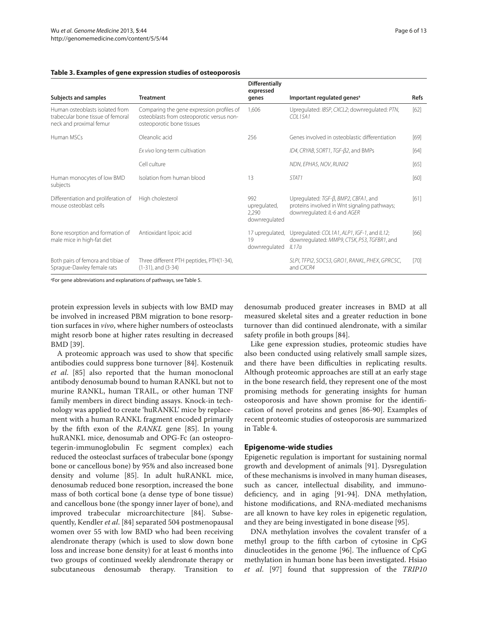#### **Table 3. Examples of gene expression studies of osteoporosis**

| Subjects and samples                                                                            | <b>Treatment</b>                                                                                                    | <b>Differentially</b><br>expressed<br>genes   | Important regulated genes <sup>a</sup>                                                                               | <b>Refs</b> |
|-------------------------------------------------------------------------------------------------|---------------------------------------------------------------------------------------------------------------------|-----------------------------------------------|----------------------------------------------------------------------------------------------------------------------|-------------|
| Human osteoblasts isolated from<br>trabecular bone tissue of femoral<br>neck and proximal femur | Comparing the gene expression profiles of<br>osteoblasts from osteoporotic versus non-<br>osteoporotic bone tissues | 1.606                                         | Upregulated: IBSP, CXCL2; downregulated: PTN,<br>COI 15A1                                                            | [62]        |
| Human MSCs                                                                                      | Oleanolic acid                                                                                                      | 256                                           | Genes involved in osteoblastic differentiation                                                                       | [69]        |
|                                                                                                 | Ex vivo long-term cultivation                                                                                       |                                               | ID4, CRYAB, SORT1, TGF-B2, and BMPs                                                                                  | [64]        |
|                                                                                                 | Cell culture                                                                                                        |                                               | NDN, EPHA5, NOV, RUNX2                                                                                               | [65]        |
| Human monocytes of low BMD<br>subjects                                                          | Isolation from human blood                                                                                          | 13                                            | STAT <sub>1</sub>                                                                                                    | [60]        |
| Differentiation and proliferation of<br>mouse osteoblast cells                                  | High cholesterol                                                                                                    | 992<br>upregulated,<br>2,290<br>downregulated | Upregulated: TGF-B, BMP2, CBFA1, and<br>proteins involved in Wnt signaling pathways;<br>downregulated: IL-6 and AGER | [61]        |
| Bone resorption and formation of<br>male mice in high-fat diet                                  | Antioxidant lipoic acid                                                                                             | 17 upregulated,<br>19<br>downregulated        | Upregulated: COL1A1, ALP1, IGF-1, and IL12;<br>downregulated: MMP9, CTSK, P53, TGFBR1, and<br>IL17a                  | [66]        |
| Both pairs of femora and tibiae of<br>Sprague-Dawley female rats                                | Three different PTH peptides, PTH(1-34),<br>$(1-31)$ , and $(3-34)$                                                 |                                               | SLPI, TFPI2, SOCS3, GRO1, RANKL, PHEX, GPRC5C,<br>and CXCR4                                                          | [70]        |

a For gene abbreviations and explanations of pathways, see Table 5.

protein expression levels in subjects with low BMD may be involved in increased PBM migration to bone resorption surfaces in *vivo*, where higher numbers of osteoclasts might resorb bone at higher rates resulting in decreased BMD [39].

A proteomic approach was used to show that specific antibodies could suppress bone turnover [84]. Kostenuik *et al*. [85] also reported that the human monoclonal antibody denosumab bound to human RANKL but not to murine RANKL, human TRAIL, or other human TNF family members in direct binding assays. Knock-in technology was applied to create 'huRANKL' mice by replacement with a human RANKL fragment encoded primarily by the fifth exon of the *RANKL* gene [85]. In young huRANKL mice, denosumab and OPG-Fc (an osteoprotegerin-immunoglobulin Fc segment complex) each reduced the osteoclast surfaces of trabecular bone (spongy bone or cancellous bone) by 95% and also increased bone density and volume [85]. In adult huRANKL mice, denosumab reduced bone resorption, increased the bone mass of both cortical bone (a dense type of bone tissue) and cancellous bone (the spongy inner layer of bone), and improved trabecular microarchitecture [84]. Subsequently, Kendler *et al*. [84] separated 504 postmenopausal women over 55 with low BMD who had been receiving alendronate therapy (which is used to slow down bone loss and increase bone density) for at least 6 months into two groups of continued weekly alendronate therapy or subcutaneous denosumab therapy. Transition to denosumab produced greater increases in BMD at all measured skeletal sites and a greater reduction in bone turnover than did continued alendronate, with a similar safety profile in both groups [84].

Like gene expression studies, proteomic studies have also been conducted using relatively small sample sizes, and there have been difficulties in replicating results. Although proteomic approaches are still at an early stage in the bone research field, they represent one of the most promising methods for generating insights for human osteoporosis and have shown promise for the identification of novel proteins and genes [86-90]. Examples of recent proteomic studies of osteoporosis are summarized in Table 4.

## **Epigenome-wide studies**

Epigenetic regulation is important for sustaining normal growth and development of animals [91]. Dysregulation of these mechanisms is involved in many human diseases, such as cancer, intellectual disability, and immunodeficiency, and in aging [91-94]. DNA methylation, histone modifications, and RNA-mediated mechanisms are all known to have key roles in epigenetic regulation, and they are being investigated in bone disease [95].

DNA methylation involves the covalent transfer of a methyl group to the fifth carbon of cytosine in CpG dinucleotides in the genome [96]. The influence of CpG methylation in human bone has been investigated. Hsiao *et al*. [97] found that suppression of the *TRIP10*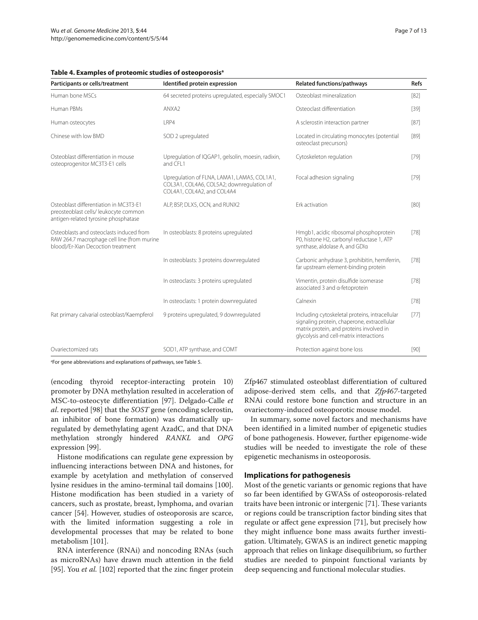| Participants or cells/treatment                                                                                               | Identified protein expression                                                                                          | <b>Related functions/pathways</b>                                                                                                                                                    | <b>Refs</b> |
|-------------------------------------------------------------------------------------------------------------------------------|------------------------------------------------------------------------------------------------------------------------|--------------------------------------------------------------------------------------------------------------------------------------------------------------------------------------|-------------|
| Human bone MSCs                                                                                                               | 64 secreted proteins upregulated, especially SMOC1                                                                     | Osteoblast mineralization                                                                                                                                                            | [82]        |
| Human PBMs                                                                                                                    | ANXA <sub>2</sub>                                                                                                      | Osteoclast differentiation                                                                                                                                                           | $[39]$      |
| Human osteocytes                                                                                                              | LRP4                                                                                                                   | A sclerostin interaction partner                                                                                                                                                     | $[87]$      |
| Chinese with low BMD                                                                                                          | SOD 2 upregulated                                                                                                      | Located in circulating monocytes (potential<br>osteoclast precursors)                                                                                                                | [89]        |
| Osteoblast differentiation in mouse<br>osteoprogenitor MC3T3-E1 cells                                                         | Upregulation of IQGAP1, gelsolin, moesin, radixin,<br>and CFL1                                                         | Cytoskeleton regulation                                                                                                                                                              | $[79]$      |
|                                                                                                                               | Upregulation of FLNA, LAMA1, LAMA5, COL1A1,<br>COL3A1, COL4A6, COL5A2; downregulation of<br>COL4A1, COL4A2, and COL4A4 | Focal adhesion signaling                                                                                                                                                             | $[79]$      |
| Osteoblast differentiation in MC3T3-F1<br>preosteoblast cells/ leukocyte common<br>antigen-related tyrosine phosphatase       | ALP, BSP, DLX5, OCN, and RUNX2                                                                                         | Frk activation                                                                                                                                                                       | [80]        |
| Osteoblasts and osteoclasts induced from<br>RAW 264.7 macrophage cell line (from murine<br>blood)/Er-Xian Decoction treatment | In osteoblasts: 8 proteins upregulated                                                                                 | Hmgb1, acidic ribosomal phosphoprotein<br>P0, histone H2, carbonyl reductase 1, ATP<br>synthase, aldolase A, and GDIa                                                                | $[78]$      |
|                                                                                                                               | In osteoblasts: 3 proteins downregulated                                                                               | Carbonic anhydrase 3, prohibitin, hemiferrin,<br>far upstream element-binding protein                                                                                                | [78]        |
|                                                                                                                               | In osteoclasts: 3 proteins upregulated                                                                                 | Vimentin, protein disulfide isomerase<br>associated 3 and a-fetoprotein                                                                                                              | [78]        |
|                                                                                                                               | In osteoclasts: 1 protein downregulated                                                                                | Calnexin                                                                                                                                                                             | $[78]$      |
| Rat primary calvarial osteoblast/Kaempferol                                                                                   | 9 proteins upregulated, 9 downregulated                                                                                | Including cytoskeletal proteins, intracellular<br>signaling protein, chaperone, extracellular<br>matrix protein, and proteins involved in<br>glycolysis and cell-matrix interactions | $[77]$      |
| Ovariectomized rats                                                                                                           | SOD1, ATP synthase, and COMT                                                                                           | Protection against bone loss                                                                                                                                                         | $[90]$      |

a For gene abbreviations and explanations of pathways, see Table 5.

(encoding thyroid receptor-interacting protein 10) promoter by DNA methylation resulted in acceleration of MSC-to-osteocyte differentiation [97]. Delgado-Calle *et al*. reported [98] that the *SOST* gene (encoding sclerostin, an inhibitor of bone formation) was dramatically upregulated by demethylating agent AzadC, and that DNA methylation strongly hindered *RANKL* and *OPG* expression [99].

Histone modifications can regulate gene expression by influencing interactions between DNA and histones, for example by acetylation and methylation of conserved lysine residues in the amino-terminal tail domains [100]. Histone modification has been studied in a variety of cancers, such as prostate, breast, lymphoma, and ovarian cancer [54]. However, studies of osteoporosis are scarce, with the limited information suggesting a role in developmental processes that may be related to bone metabolism [101].

RNA interference (RNAi) and noncoding RNAs (such as microRNAs) have drawn much attention in the field [95]. You *et al.* [102] reported that the zinc finger protein

Zfp467 stimulated osteoblast differentiation of cultured adipose-derived stem cells, and that *Zfp467*-targeted RNAi could restore bone function and structure in an ovariectomy-induced osteoporotic mouse model.

In summary, some novel factors and mechanisms have been identified in a limited number of epigenetic studies of bone pathogenesis. However, further epigenome-wide studies will be needed to investigate the role of these epigenetic mechanisms in osteoporosis.

## **Implications for pathogenesis**

Most of the genetic variants or genomic regions that have so far been identified by GWASs of osteoporosis-related traits have been intronic or intergenic [71]. These variants or regions could be transcription factor binding sites that regulate or affect gene expression [71], but precisely how they might influence bone mass awaits further investigation. Ultimately, GWAS is an indirect genetic mapping approach that relies on linkage disequilibrium, so further studies are needed to pinpoint functional variants by deep sequencing and functional molecular studies.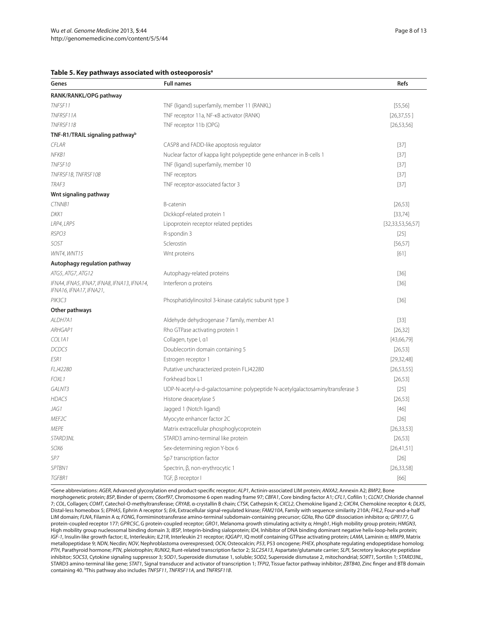#### **Table 5. Key pathways associated with osteoporosisa**

| Genes                                                                  | <b>Full names</b>                                                               | Refs                 |
|------------------------------------------------------------------------|---------------------------------------------------------------------------------|----------------------|
| RANK/RANKL/OPG pathway                                                 |                                                                                 |                      |
| TNFSF11                                                                | TNF (ligand) superfamily, member 11 (RANKL)                                     | [55, 56]             |
| TNFRSF11A                                                              | TNF receptor 11a, NF-KB activator (RANK)                                        | [26, 37, 55]         |
| TNFRSF11B                                                              | TNF receptor 11b (OPG)                                                          | [26, 53, 56]         |
| TNF-R1/TRAIL signaling pathway <sup>b</sup>                            |                                                                                 |                      |
| <b>CFLAR</b>                                                           | CASP8 and FADD-like apoptosis regulator                                         | $[37]$               |
| NFKB1                                                                  | Nuclear factor of kappa light polypeptide gene enhancer in B-cells 1            | $[37]$               |
| TNFSF10                                                                | TNF (ligand) superfamily, member 10                                             | $[37]$               |
| TNFRSF1B, TNFRSF10B                                                    | TNF receptors                                                                   | $[37]$               |
| TRAF3                                                                  | TNF receptor-associated factor 3                                                | $[37]$               |
| Wnt signaling pathway                                                  |                                                                                 |                      |
| CTNNB1                                                                 | <b>B-catenin</b>                                                                | [26, 53]             |
| DKK1                                                                   | Dickkopf-related protein 1                                                      | [33, 74]             |
| LRP4, LRP5                                                             | Lipoprotein receptor related peptides                                           | [32, 33, 53, 56, 57] |
| RSPO3                                                                  | R-spondin 3                                                                     | $[25]$               |
| SOST                                                                   | Sclerostin                                                                      | [56, 57]             |
| WNT4, WNT15                                                            | Wnt proteins                                                                    | $[61]$               |
| Autophagy regulation pathway                                           |                                                                                 |                      |
| ATG5, ATG7, ATG12                                                      | Autophagy-related proteins                                                      | $[36]$               |
| IFNA4, IFNA5, IFNA7, IFNA8, IFNA13, IFNA14,<br>IFNA16, IFNA17, IFNA21, | Interferon a proteins                                                           | $[36]$               |
| PIK3C3                                                                 | Phosphatidylinositol 3-kinase catalytic subunit type 3                          | $[36]$               |
| Other pathways                                                         |                                                                                 |                      |
| ALDH7A1                                                                | Aldehyde dehydrogenase 7 family, member A1                                      | $[33]$               |
| ARHGAP1                                                                | Rho GTPase activating protein 1                                                 | [26, 32]             |
| COL1A1                                                                 | Collagen, type I, a1                                                            | [43,66,79]           |
| DCDC5                                                                  | Doublecortin domain containing 5                                                | [26, 53]             |
| ESR1                                                                   | Estrogen receptor 1                                                             | [29, 32, 48]         |
| FLJ42280                                                               | Putative uncharacterized protein FLJ42280                                       | [26, 53, 55]         |
| FOXL1                                                                  | Forkhead box L1                                                                 | [26, 53]             |
| GALNT3                                                                 | UDP-N-acetyl-a-d-galactosamine: polypeptide N-acetylgalactosaminyltransferase 3 | $[25]$               |
| HDAC5                                                                  | Histone deacetylase 5                                                           | [26, 53]             |
| JAG1                                                                   | Jagged 1 (Notch ligand)                                                         | $[46]$               |
| MEF2C                                                                  | Myocyte enhancer factor 2C                                                      | $[26]$               |
| <b>MEPE</b>                                                            | Matrix extracellular phosphoglycoprotein                                        | [26, 33, 53]         |
| STARD3NL                                                               | STARD3 amino-terminal like protein                                              | [26, 53]             |
| SOX6                                                                   | Sex-determining region Y-box 6                                                  | [26,41,51]           |
| SP7                                                                    | Sp7 transcription factor                                                        | $[26]$               |
| SPTBN1                                                                 | Spectrin, β, non-erythrocytic 1                                                 | [26, 33, 58]         |
| TGFBR1                                                                 | TGF, β receptor I                                                               | [66]                 |

a Gene abbreviations: *AGER*, Advanced glycosylation end product-specific receptor; *ALP1*, Actinin-associated LIM protein; *ANXA2*, Annexin A2; *BMP2*, Bone morphogenetic protein; *BSP*, Binder of sperm; *C6orf97*, Chromosome 6 open reading frame 97; *CBFA1*, Core binding factor A1; *CFL1*, Cofilin 1; *CLCN7*, Chloride channel 7; *COL*, Collagen; *COMT*, Catechol-O-methyltransferase; *CRYAB*, α-crystallin B chain; *CTSK*, Cathepsin K; *CXCL2*, Chemokine ligand 2; *CXCR4*, Chemokine receptor 4; *DLX5*, Distal-less homeobox 5; *EPHA5*, Ephrin A receptor 5; *Erk*, Extracellular signal-regulated kinase; *FAM210A*, Family with sequence similarity 210A; *FHL2*, Four-and-a-half LIM domain; *FLNA*, Filamin A α; *FONG*, Formiminotransferase amino-terminal subdomain-containing precursor; *GDIα*, Rho GDP dissociation inhibitor α; *GPR177*, G protein-coupled receptor 177; *Gprc 5c*, G protein-coupled receptor; *GRO1*, Melanoma growth stimulating activity α; *Hmgb1*, High mobility group protein; *HMGN3*, High mobility group nucleosomal binding domain 3; *IBSP*, Integrin-binding sialoprotein; *ID4*, Inhibitor of DNA binding dominant negative helix-loop-helix protein; *IGF-1*, Insulin-like growth factor; *IL*, Interleukin; *IL21R*, Interleukin 21 receptor; *IQGAP1*, IQ motif containing GTPase activating protein; *LAMA*, Laminin α; *MMP9*, Matrix metallopeptidase 9; *NDN*, Necdin; *NOV*, Nephroblastoma overexpressed; *OCN*, Osteocalcin; *P53*, P53 oncogene; *phex* , phosphate regulating endopeptidase homolog; *PTH*, Parathyroid hormone; *PTN*, pleiotrophin; *RUNX2*, Runt-related transcription factor 2; *SLC25A13*, Aspartate/glutamate carrier; *SLPI*, Secretory leukocyte peptidase inhibitor; *SOCS3*, Cytokine signaling suppressor 3; *SOD1*, Superoxide dismutase 1, soluble; *SOD2*, Superoxide dismutase 2, mitochondrial; *SORT1*, Sortilin 1; *STARD3NL*, STARD3 amino-terminal like gene; *STAT1*, Signal transducer and activator of transcription 1; *TFPI2*, Tissue factor pathway inhibitor; *ZBTB40*, Zinc finger and BTB domain containing 40. <sup>b</sup>This pathway also includes *TNFSF11*, *TNFRSF11A*, and *TNFRSF11B*.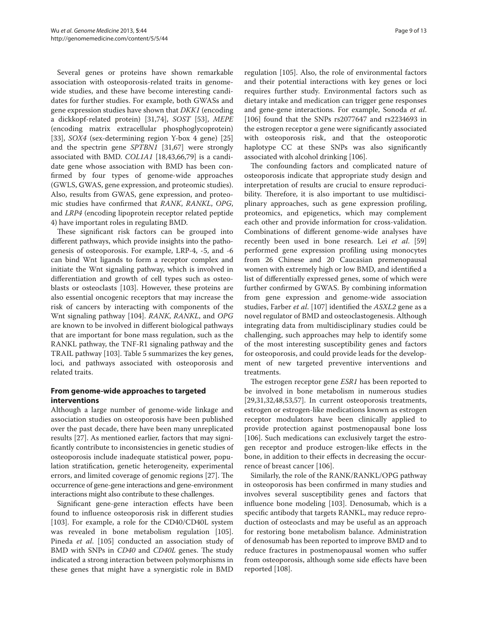Several genes or proteins have shown remarkable association with osteoporosis-related traits in genomewide studies, and these have become interesting candidates for further studies. For example, both GWASs and gene expression studies have shown that *DKK1* (encoding a dickkopf-related protein) [31,74], *SOST* [53], *MEPE* (encoding matrix extracellular phosphoglycoprotein) [33], *SOX4* (sex-determining region Y-box 4 gene) [25] and the spectrin gene *SPTBN1* [31,67] were strongly associated with BMD. *COL1A1* [18,43,66,79] is a candidate gene whose association with BMD has been confirmed by four types of genome-wide approaches (GWLS, GWAS, gene expression, and proteomic studies). Also, results from GWAS, gene expression, and proteomic studies have confirmed that *RANK*, *RANKL*, *OPG*, and *LRP4* (encoding lipoprotein receptor related peptide 4) have important roles in regulating BMD.

These significant risk factors can be grouped into different pathways, which provide insights into the pathogenesis of osteoporosis. For example, LRP-4, -5, and -6 can bind Wnt ligands to form a receptor complex and initiate the Wnt signaling pathway, which is involved in differentiation and growth of cell types such as osteoblasts or osteoclasts [103]. However, these proteins are also essential oncogenic receptors that may increase the risk of cancers by interacting with components of the Wnt signaling pathway [104]. *RANK*, *RANKL*, and *OPG* are known to be involved in different biological pathways that are important for bone mass regulation, such as the RANKL pathway, the TNF-R1 signaling pathway and the TRAIL pathway [103]. Table 5 summarizes the key genes, loci, and pathways associated with osteoporosis and related traits.

## **From genome-wide approaches to targeted interventions**

Although a large number of genome-wide linkage and association studies on osteoporosis have been published over the past decade, there have been many unreplicated results [27]. As mentioned earlier, factors that may significantly contribute to inconsistencies in genetic studies of osteoporosis include inadequate statistical power, population stratification, genetic heterogeneity, experimental errors, and limited coverage of genomic regions [27]. The occurrence of gene-gene interactions and gene-environment interactions might also contribute to these challenges.

Significant gene-gene interaction effects have been found to influence osteoporosis risk in different studies [103]. For example, a role for the CD40/CD40L system was revealed in bone metabolism regulation [105]. Pineda *et al*. [105] conducted an association study of BMD with SNPs in *CD40* and *CD40L* genes. The study indicated a strong interaction between polymorphisms in these genes that might have a synergistic role in BMD regulation [105]. Also, the role of environmental factors and their potential interactions with key genes or loci requires further study. Environmental factors such as dietary intake and medication can trigger gene responses and gene-gene interactions. For example, Sonoda *et al*. [106] found that the SNPs rs2077647 and rs2234693 in the estrogen receptor α gene were significantly associated with osteoporosis risk, and that the osteoporotic haplotype CC at these SNPs was also significantly associated with alcohol drinking [106].

The confounding factors and complicated nature of osteoporosis indicate that appropriate study design and interpretation of results are crucial to ensure reproducibility. Therefore, it is also important to use multidisciplinary approaches, such as gene expression profiling, proteomics, and epigenetics, which may complement each other and provide information for cross-validation. Combinations of different genome-wide analyses have recently been used in bone research. Lei *et al*. [59] performed gene expression profiling using monocytes from 26 Chinese and 20 Caucasian premenopausal women with extremely high or low BMD, and identified a list of differentially expressed genes, some of which were further confirmed by GWAS. By combining information from gene expression and genome-wide association studies, Farber *et al*. [107] identified the *ASXL2* gene as a novel regulator of BMD and osteoclastogenesis. Although integrating data from multidisciplinary studies could be challenging, such approaches may help to identify some of the most interesting susceptibility genes and factors for osteoporosis, and could provide leads for the development of new targeted preventive interventions and treatments.

The estrogen receptor gene *ESR1* has been reported to be involved in bone metabolism in numerous studies [29,31,32,48,53,57]. In current osteoporosis treatments, estrogen or estrogen-like medications known as estrogen receptor modulators have been clinically applied to provide protection against postmenopausal bone loss [106]. Such medications can exclusively target the estrogen receptor and produce estrogen-like effects in the bone, in addition to their effects in decreasing the occurrence of breast cancer [106].

Similarly, the role of the RANK/RANKL/OPG pathway in osteoporosis has been confirmed in many studies and involves several susceptibility genes and factors that influence bone modeling [103]. Denosumab, which is a specific antibody that targets RANKL, may reduce reproduction of osteoclasts and may be useful as an approach for restoring bone metabolism balance. Administration of denosumab has been reported to improve BMD and to reduce fractures in postmenopausal women who suffer from osteoporosis, although some side effects have been reported [108].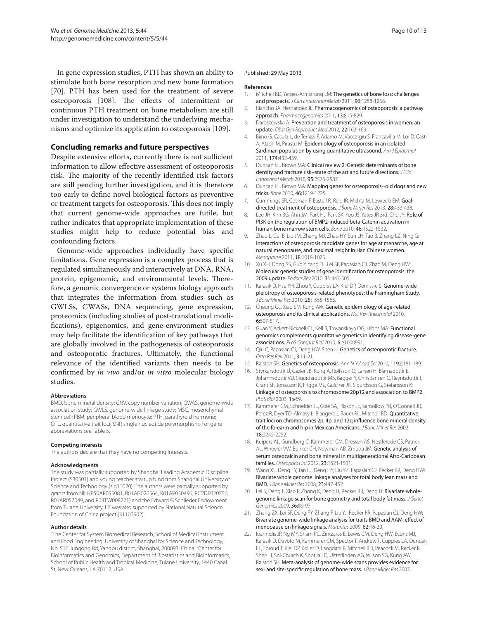In gene expression studies, PTH has shown an ability to stimulate both bone resorption and new bone formation [70]. PTH has been used for the treatment of severe osteoporosis [108]. The effects of intermittent or continuous PTH treatment on bone metabolism are still under investigation to understand the underlying mechanisms and optimize its application to osteoporosis [109].

## **Concluding remarks and future perspectives**

Despite extensive efforts, currently there is not sufficient information to allow effective assessment of osteoporosis risk. The majority of the recently identified risk factors are still pending further investigation, and it is therefore too early to define novel biological factors as preventive or treatment targets for osteoporosis. This does not imply that current genome-wide approaches are futile, but rather indicates that appropriate implementation of these studies might help to reduce potential bias and confounding factors.

Genome-wide approaches individually have specific limitations. Gene expression is a complex process that is regulated simultaneously and interactively at DNA, RNA, protein, epigenomic, and environmental levels. Therefore, a genomic convergence or systems biology approach that integrates the information from studies such as GWLSs, GWASs, DNA sequencing, gene expression, proteomics (including studies of post-translational modifications), epigenomics, and gene-environment studies may help facilitate the identification of key pathways that are globally involved in the pathogenesis of osteoporosis and osteoporotic fractures. Ultimately, the functional relevance of the identified variants then needs to be confirmed by *in vivo* and/or *in vitro* molecular biology studies.

#### **Abbreviations**

BMD, bone mineral density; CNV, copy number variation; GWAS, genome-wide association study; GWLS, genome-wide linkage study; MSC, mesenchymal stem cell; PBM, peripheral blood monocyte; PTH, parathyroid hormone; QTL, quantitative trait loci; SNP, single nucleotide polymorphism. For gene abbreviations see Table 5.

#### **Competing interests**

The authors declare that they have no competing interests.

#### **Acknowledgments**

The study was partially supported by Shanghai Leading Academic Discipline Project (S30501) and young teacher startup fund from Shanghai University of Science and Technology (slg11020). The authors were partially supported by grants from NIH (P50AR055081, R01AG026564, R01AR050496, RC2DE020756, R01AR057049, and R03TW008221) and the Edward G Schlieder Endowment from Tulane University. LZ was also supported by National Natural Science Foundation of China project (31100902).

#### **Author details**

1 The Center for System Biomedical Research, School of Medical Instrument and Food Engineering, University of Shanghai for Science and Technology, No. 516 Jungong Rd, Yangpu district, Shanghai, 200093, China. <sup>2</sup>Center for Bioinformatics and Genomics, Department of Biostatistics and Bioinformatics, School of Public Health and Tropical Medicine, Tulane University, 1440 Canal St, New Orleans, LA 70112, USA

#### Published: 29 May 2013

#### **References**

- 1. Mitchell BD, Yerges-Armstrong LM: The genetics of bone loss: challenges and prospects. *J Clin Endocrinol Metab* 2011, 96:1258-1268.
- 2. Riancho JA, Hernandez JL: Pharmacogenomics of osteoporosis: a pathway approach. *Pharmacogenomics* 2011, 13:815-829.
- 3. Daroszewska A: Prevention and treatment of osteoporosis in women: an update. *Obst Gyn Reproduct Med* 2012, 22:162-169.
- 4. Biino G, Casula L, de Terlizzi F, Adamo M, Vaccargiu S, Francavilla M, Loi D, Casti A, Atzori M, Pirastu M: Epidemiology of osteoporosis in an isolated Sardinian population by using quantitative ultrasound. *Am J Epidemiol*  2011, 174:432-439.
- 5. Duncan EL, Brown MA: Clinical review 2: Genetic determinants of bone density and fracture risk--state of the art and future directions. *J Clin Endocrinol Metab* 2010, 95:2576-2587.
- 6. Duncan EL, Brown MA: Mapping genes for osteoporosis--old dogs and new tricks. *Bone* 2010, 46:1219-1225.
- 7. Cummings SR, Cosman F, Eastell R, Reid IR, Mehta M, Lewiecki EM: Goaldirected treatment of osteoporosis. *J Bone Miner Res* 2013, 28:433-438.
- 8. Lee JH, Kim BG, Ahn JM, Park HJ, Park SK, Yoo JS, Yates JR 3rd, Cho JY: Role of PI3K on the regulation of BMP2-induced beta-Catenin activation in human bone marrow stem cells. *Bone* 2010, 46:1522-1532.
- 9. Zhao L, Cui B, Liu JM, Zhang MJ, Zhao HY, Sun LH, Tao B, Zhang LZ, Ning G: Interactions of osteoporosis candidate genes for age at menarche, age at natural menopause, and maximal height in Han Chinese women. *Menopause* 2011, 18:1018-1025.
- 10. Xu XH, Dong SS, Guo Y, Yang TL, Lei SF, Papasian CJ, Zhao M, Deng HW: Molecular genetic studies of gene identification for osteoporosis: the 2009 update. *Endocr Rev* 2010, 31:447-505.
- 11. Karasik D, Hsu YH, Zhou Y, Cupples LA, Kiel DP, Demissie S: Genome-wide pleiotropy of osteoporosis-related phenotypes: the Framingham Study. *J Bone Miner Res* 2010, 25:1555-1563.
- 12. Cheung CL, Xiao SM, Kung AW: Genetic epidemiology of age-related osteoporosis and its clinical applications. *Nat Rev Rheumatol* 2010, 6:507-517.
- 13. Guan Y, Ackert-Bicknell CL, Kell B, Troyanskaya OG, Hibbs MA: Functional genomics complements quantitative genetics in identifying disease-gene associations. *PLoS Comput Biol* 2010, 6:e1000991.
- 14. Qiu C, Papasian CJ, Deng HW, Shen H: Genetics of osteoporotic fracture. *Orth Res Rev* 2011, 3:11-21.
- 15. Ralston SH: Genetics of osteoporosis. *Ann N Y Acad Sci* 2010, 1192:181-189.
- 16. Styrkarsdottir U, Cazier JB, Kong A, Rolfsson O, Larsen H, Bjarnadottir E, Johannsdottir VD, Sigurdardottir MS, Bagger Y, Christiansen C, Reynisdottir I, Grant SF, Jonasson K, Frigge ML, Gulcher JR, Sigurdsson G, Stefansson K: Linkage of osteoporosis to chromosome 20p12 and association to BMP2. *PLoS Biol* 2003, 1:e69.
- 17. Kammerer CM, Schneider JL, Cole SA, Hixson JE, Samollow PB, O'Connell JR, Perez R, Dyer TD, Almasy L, Blangero J, Bauer RL, Mitchell BD: Quantitative trait loci on chromosomes 2p, 4p, and 13q influence bone mineral density of the forearm and hip in Mexican Americans. *J Bone Miner Res* 2003, 18:2245-2252.
- 18. Kuipers AL, Gundberg C, Kammerer CM, Dressen AS, Nestlerode CS, Patrick AL, Wheeler VW, Bunker CH, Newman AB, Zmuda JM: Genetic analysis of serum osteocalcin and bone mineral in multigenerational Afro-Caribbean families. *Osteoporos Int* 2012, 23:1521-1531.
- 19. Wang XL, Deng FY, Tan LJ, Deng HY, Liu YZ, Papasian CJ, Recker RR, Deng HW: Bivariate whole genome linkage analyses for total body lean mass and BMD. *J Bone Miner Res* 2008, 23:447-452.
- 20. Lei S, Deng F, Xiao P, Zhong K, Deng H, Recker RR, Deng H: Bivariate wholegenome linkage scan for bone geometry and total body fat mass. *J Genet Genomics* 2009, 36:89-97.
- 21. Zhang ZX, Lei SF, Deng FY, Zhang F, Liu YJ, Recker RR, Papasian CJ, Deng HW: Bivariate genome-wide linkage analysis for traits BMD and AAM: effect of menopause on linkage signals. *Maturitas* 2009, 62:16-20.
- 22. Ioannidis JP, Ng MY, Sham PC, Zintzaras E, Lewis CM, Deng HW, Econs MJ, Karasik D, Devoto M, Kammerer CM, Spector T, Andrew T, Cupples LA, Duncan EL, Foroud T, Kiel DP, Koller D, Langdahl B, Mitchell BD, Peacock M, Recker R, Shen H, Sol-Church K, Spotila LD, Uitterlinden AG, Wilson SG, Kung AW, Ralston SH: Meta-analysis of genome-wide scans provides evidence for sex- and site-specific regulation of bone mass. *J Bone Miner Res* 2007,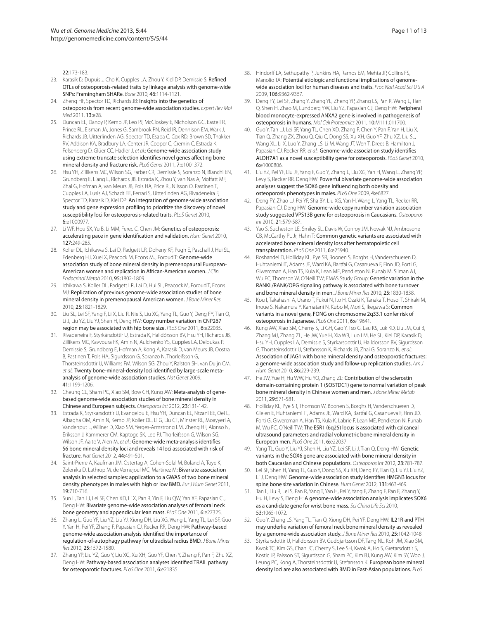22:173-183.

- 23. Karasik D, Dupuis J, Cho K, Cupples LA, Zhou Y, Kiel DP, Demissie S: Refined QTLs of osteoporosis-related traits by linkage analysis with genome-wide SNPs: Framingham SHARe. *Bone* 2010, 46:1114-1121.
- 24. Zheng HF, Spector TD, Richards JB: Insights into the genetics of osteoporosis from recent genome-wide association studies. *Expert Rev Mol Med* 2011, 13:e28.
- 25. Duncan EL, Danoy P, Kemp JP, Leo PJ, McCloskey E, Nicholson GC, Eastell R, Prince RL, Eisman JA, Jones G, Sambrook PN, Reid IR, Dennison EM, Wark J, Richards JB, Uitterlinden AG, Spector TD, Esapa C, Cox RD, Brown SD, Thakker RV, Addison KA, Bradbury LA, Center JR, Cooper C, Cremin C, Estrada K, Felsenberg D, Glüer CC, Hadler J, et al.: Genome-wide association study using extreme truncate selection identifies novel genes affecting bone mineral density and fracture risk. *PLoS Genet* 2011, 7:e1001372.
- 26. Hsu YH, Zillikens MC, Wilson SG, Farber CR, Demissie S, Soranzo N, Bianchi EN, Grundberg E, Liang L, Richards JB, Estrada K, Zhou Y, van Nas A, Moffatt MF, Zhai G, Hofman A, van Meurs JB, Pols HA, Price RI, Nilsson O, Pastinen T, Cupples LA, Lusis AJ, Schadt EE, Ferrari S, Uitterlinden AG, Rivadeneira F, Spector TD, Karasik D, Kiel DP: An integration of genome-wide association study and gene expression profiling to prioritize the discovery of novel susceptibility loci for osteoporosis-related traits. *PLoS Genet* 2010, 6:e1000977.
- 27. Li WF, Hou SX, Yu B, Li MM, Ferec C, Chen JM: Genetics of osteoporosis: accelerating pace in gene identification and validation. *Hum Genet* 2010, 127-249-285
- 28. Koller DL, Ichikawa S, Lai D, Padgett LR, Doheny KF, Pugh E, Paschall J, Hui SL, Edenberg HJ, Xuei X, Peacock M, Econs MJ, Foroud T: Genome-wide association study of bone mineral density in premenopausal European-American women and replication in African-American women. *J Clin Endocrinol Metab* 2010, 95:1802-1809.
- 29. Ichikawa S, Koller DL, Padgett LR, Lai D, Hui SL, Peacock M, Foroud T, Econs MJ: Replication of previous genome-wide association studies of bone mineral density in premenopausal American women. *J Bone Miner Res*  2010, 25:1821-1829.
- 30. Liu SL, Lei SF, Yang F, Li X, Liu R, Nie S, Liu XG, Yang TL, Guo Y, Deng FY, Tian Q, Li J, Liu YZ, Liu YJ, Shen H, Deng HW: Copy number variation in CNP267 region may be associated with hip bone size. *PLoS One* 2011, 6:e22035.
- 31. Rivadeneira F, Styrkársdottir U, Estrada K, Halldórsson BV, Hsu YH, Richards JB, Zillikens MC, Kavvoura FK, Amin N, Aulchenko YS, Cupples LA, Deloukas P, Demissie S, Grundberg E, Hofman A, Kong A, Karasik D, van Meurs JB, Oostra B, Pastinen T, Pols HA, Sigurdsson G, Soranzo N, Thorleifsson G, Thorsteinsdottir U, Williams FM, Wilson SG, Zhou Y, Ralston SH, van Duijn CM, *et al.*: Twenty bone-mineral-density loci identified by large-scale metaanalysis of genome-wide association studies. *Nat Genet* 2009, 41:1199-1206.
- 32. Cheung CL, Sham PC, Xiao SM, Bow CH, Kung AW: Meta-analysis of genebased genome-wide association studies of bone mineral density in Chinese and European subjects. *Osteoporos Int* 2012, 23:131-142.
- Estrada K, Styrkarsdottir U, Evangelou E, Hsu YH, Duncan EL, Ntzani EE, Oei L, Albagha OM, Amin N, Kemp JP, Koller DL, Li G, Liu CT, Minster RL, Moayyeri A, Vandenput L, Willner D, Xiao SM, Yerges-Armstrong LM, Zheng HF, Alonso N, Eriksson J, Kammerer CM, Kaptoge SK, Leo PJ, Thorleifsson G, Wilson SG, Wilson JF, Aalto V, Alen M, *et al.*: Genome-wide meta-analysis identifies 56 bone mineral density loci and reveals 14 loci associated with risk of fracture. *Nat Genet* 2012, 44:491-501.
- 34. Saint-Pierre A, Kaufman JM, Ostertag A, Cohen-Solal M, Boland A, Toye K, Zelenika D, Lathrop M, de Vernejoul MC, Martinez M: Bivariate association analysis in selected samples: application to a GWAS of two bone mineral density phenotypes in males with high or low BMD. *Eur J Hum Genet* 2011, 19:710-716.
- 35. Sun L, Tan LJ, Lei SF, Chen XD, Li X, Pan R, Yin F, Liu QW, Yan XF, Papasian CJ, Deng HW: Bivariate genome-wide association analyses of femoral neck bone geometry and appendicular lean mass. *PLoS One* 2011, 6:e27325.
- 36. Zhang L, Guo YF, Liu YZ, Liu YJ, Xiong DH, Liu XG, Wang L, Yang TL, Lei SF, Guo Y, Yan H, Pei YF, Zhang F, Papasian CJ, Recker RR, Deng HW: Pathway-based genome-wide association analysis identified the importance of regulation-of-autophagy pathway for ultradistal radius BMD. *J Bone Miner Res* 2010, 25:1572-1580.
- 37. Zhang YP, Liu YZ, Guo Y, Liu XG, Xu XH, Guo YF, Chen Y, Zhang F, Pan F, Zhu XZ, Deng HW: Pathway-based association analyses identified TRAIL pathway for osteoporotic fractures. *PLoS One* 2011, 6:e21835.
- 38. Hindorff LA, Sethupathy P, Junkins HA, Ramos EM, Mehta JP, Collins FS, Manolio TA: Potential etiologic and functional implications of genomewide association loci for human diseases and traits. *Proc Natl Acad Sci U S A*  2009, 106:9362-9367.
- 39. Deng FY, Lei SF, Zhang Y, Zhang YL, Zheng YP, Zhang LS, Pan R, Wang L, Tian Q, Shen H, Zhao M, Lundberg YW, Liu YZ, Papasian CJ, Deng HW: Peripheral blood monocyte-expressed ANXA2 gene is involved in pathogenesis of osteoporosis in humans. *Mol Cell Proteomics* 2011, 10:M111.011700.
- 40. Guo Y, Tan LJ, Lei SF, Yang TL, Chen XD, Zhang F, Chen Y, Pan F, Yan H, Liu X, Tian Q, Zhang ZX, Zhou Q, Qiu C, Dong SS, Xu XH, Guo YF, Zhu XZ, Liu SL, Wang XL, Li X, Luo Y, Zhang LS, Li M, Wang JT, Wen T, Drees B, Hamilton J, Papasian CJ, Recker RR, *et al.*: Genome-wide association study identifies ALDH7A1 as a novel susceptibility gene for osteoporosis. *PLoS Genet* 2010, 6:e1000806.
- 41. Liu YZ, Pei YF, Liu JF, Yang F, Guo Y, Zhang L, Liu XG, Yan H, Wang L, Zhang YP, Levy S, Recker RR, Deng HW: Powerful bivariate genome-wide association analyses suggest the SOX6 gene influencing both obesity and osteoporosis phenotypes in males. *PLoS One* 2009, 4:e6827.
- 42. Deng FY, Zhao LJ, Pei YF, Sha BY, Liu XG, Yan H, Wang L, Yang TL, Recker RR, Papasian CJ, Deng HW: Genome-wide copy number variation association study suggested VPS13B gene for osteoporosis in Caucasians. *Osteoporos Int* 2010, 21:579-587.
- 43. Yao S, Sucheston LE, Smiley SL, Davis W, Conroy JM, Nowak NJ, Ambrosone CB, McCarthy PL Jr, Hahn T: Common genetic variants are associated with accelerated bone mineral density loss after hematopoietic cell transplantation. *PLoS One* 2011, 6:e25940.
- 44. Roshandel D, Holliday KL, Pye SR, Boonen S, Borghs H, Vanderschueren D, Huhtaniemi IT, Adams JE, Ward KA, Bartfai G, Casanueva F, Finn JD, Forti G, Giwercman A, Han TS, Kula K, Lean ME, Pendleton N, Punab M, Silman AJ, Wu FC, Thomson W, O'Neill TW; EMAS Study Group: Genetic variation in the RANKL/RANK/OPG signaling pathway is associated with bone turnover and bone mineral density in men. *J Bone Miner Res* 2010, 25:1830-1838.
- 45. Kou I, Takahashi A, Urano T, Fukui N, Ito H, Ozaki K, Tanaka T, Hosoi T, Shiraki M, Inoue S, Nakamura Y, Kamatani N, Kubo M, Mori S, Ikegawa S: Common variants in a novel gene, FONG on chromosome 2q33.1 confer risk of osteoporosis in Japanese. *PLoS One* 2011, 6:e19641.
- Kung AW, Xiao SM, Cherny S, Li GH, Gao Y, Tso G, Lau KS, Luk KD, Liu JM, Cui B, Zhang MJ, Zhang ZL, He JW, Yue H, Xia WB, Luo LM, He SL, Kiel DP, Karasik D, Hsu YH, Cupples LA, Demissie S, Styrkarsdottir U, Halldorsson BV, Sigurdsson G, Thorsteinsdottir U, Stefansson K, Richards JB, Zhai G, Soranzo N, *et al.*: Association of JAG1 with bone mineral density and osteoporotic fractures: a genome-wide association study and follow-up replication studies. *Am J Hum Genet* 2010, 86:229-239.
- 47. He JW, Yue H, Hu WW, Hu YQ, Zhang ZL: Contribution of the sclerostin domain-containing protein 1 (SOSTDC1) gene to normal variation of peak bone mineral density in Chinese women and men. *J Bone Miner Metab*  2011, 29:571-581.
- 48. Holliday KL, Pye SR, Thomson W, Boonen S, Borghs H, Vanderschueren D, Gielen E, Huhtaniemi IT, Adams JE, Ward KA, Bartfai G, Casanueva F, Finn JD, Forti G, Giwercman A, Han TS, Kula K, Labrie F, Lean ME, Pendleton N, Punab M, Wu FC, O'Neill TW: The ESR1 (6q25) locus is associated with calcaneal ultrasound parameters and radial volumetric bone mineral density in European men. *PLoS One* 2011, 6:e22037.
- 49. Yang TL, Guo Y, Liu YJ, Shen H, Liu YZ, Lei SF, Li J, Tian Q, Deng HW: Genetic variants in the SOX6 gene are associated with bone mineral density in both Caucasian and Chinese populations. *Osteoporos Int* 2012, 23:781-787.
- 50. Lei SF, Shen H, Yang TL, Guo Y, Dong SS, Xu XH, Deng FY, Tian Q, Liu YJ, Liu YZ, Li J, Deng HW: Genome-wide association study identifies HMGN3 locus for spine bone size variation in Chinese. *Hum Genet* 2012, 131:463-469.
- 51. Tan L, Liu R, Lei S, Pan R, Yang T, Yan H, Pei Y, Yang F, Zhang F, Pan F, Zhang Y, Hu H, Levy S, Deng H: A genome-wide association analysis implicates SOX6 as a candidate gene for wrist bone mass. *Sci China Life Sci* 2010, 53:1065-1072.
- 52. Guo Y, Zhang LS, Yang TL, Tian Q, Xiong DH, Pei YF, Deng HW: IL21R and PTH may underlie variation of femoral neck bone mineral density as revealed by a genome-wide association study. *J Bone Miner Res* 2010, 25:1042-1048.
- Styrkarsdottir U, Halldorsson BV, Gudbjartsson DF, Tang NL, Koh JM, Xiao SM, Kwok TC, Kim GS, Chan JC, Cherny S, Lee SH, Kwok A, Ho S, Gretarsdottir S, Kostic JP, Palsson ST, Sigurdsson G, Sham PC, Kim BJ, Kung AW, Kim SY, Woo J, Leung PC, Kong A, Thorsteinsdottir U, Stefansson K: European bone mineral density loci are also associated with BMD in East-Asian populations. *PLoS*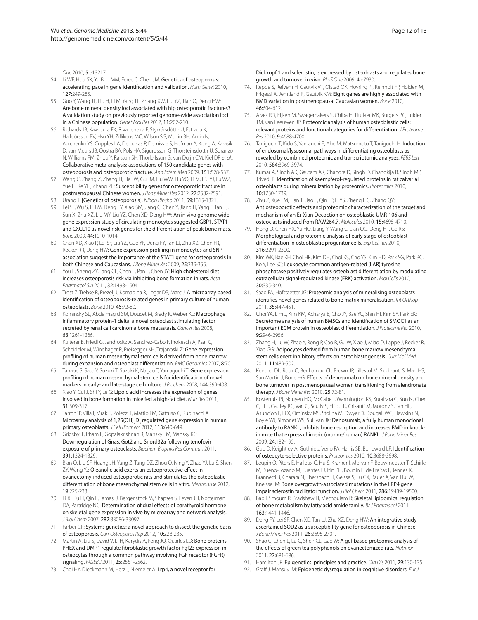*One* 2010, 5:e13217.

- 54. Li WF, Hou SX, Yu B, Li MM, Ferec C, Chen JM: Genetics of osteoporosis: accelerating pace in gene identification and validation. *Hum Genet* 2010, 127:249-285.
- 55. Guo Y, Wang JT, Liu H, Li M, Yang TL, Zhang XW, Liu YZ, Tian Q, Deng HW: Are bone mineral density loci associated with hip osteoporotic fractures? A validation study on previously reported genome-wide association loci in a Chinese population. *Genet Mol Res* 2012, 11:202-210.
- 56. Richards JB, Kavvoura FK, Rivadeneira F, Styrkársdóttir U, Estrada K, Halldórsson BV, Hsu YH, Zillikens MC, Wilson SG, Mullin BH, Amin N, Aulchenko YS, Cupples LA, Deloukas P, Demissie S, Hofman A, Kong A, Karasik D, van Meurs JB, Oostra BA, Pols HA, Sigurdsson G, Thorsteinsdottir U, Soranzo N, Williams FM, Zhou Y, Ralston SH, Thorleifsson G, van Duijn CM, Kiel DP, *et al.*: Collaborative meta-analysis: associations of 150 candidate genes with osteoporosis and osteoporotic fracture. *Ann Intern Med* 2009, 151:528-537.
- 57. Wang C, Zhang Z, Zhang H, He JW, Gu JM, Hu WW, Hu YQ, Li M, Liu YJ, Fu WZ, Yue H, Ke YH, Zhang ZL: Susceptibility genes for osteoporotic fracture in postmenopausal Chinese women. *J Bone Miner Res* 2012, 27:2582-2591.
- 58. Urano T: [Genetics of osteoporosis]. *Nihon Rinsho* 2011, 69:1315-1321.
- 59. Lei SF, Wu S, Li LM, Deng FY, Xiao SM, Jiang C, Chen Y, Jiang H, Yang F, Tan LJ, Sun X, Zhu XZ, Liu MY, Liu YZ, Chen XD, Deng HW: An in vivo genome wide gene expression study of circulating monocytes suggested GBP1, STAT1 and CXCL10 as novel risk genes for the differentiation of peak bone mass. *Bone* 2009, 44:1010-1014.
- 60. Chen XD, Xiao P, Lei SF, Liu YZ, Guo YF, Deng FY, Tan LJ, Zhu XZ, Chen FR, Recker RR, Deng HW: Gene expression profiling in monocytes and SNP association suggest the importance of the STAT1 gene for osteoporosis in both Chinese and Caucasians. *J Bone Miner Res* 2009, 25:339-355.
- 61. You L, Sheng ZY, Tang CL, Chen L, Pan L, Chen JY: High cholesterol diet increases osteoporosis risk via inhibiting bone formation in rats. *Acta Pharmacol Sin* 2011, 32:1498-1504.
- 62. Trost Z, Trebse R, Prezelj J, Komadina R, Logar DB, Marc J: A microarray based identification of osteoporosis-related genes in primary culture of human osteoblasts. *Bone* 2010, 46:72-80.
- 63. Kominsky SL, Abdelmagid SM, Doucet M, Brady K, Weber KL: Macrophage inflammatory protein-1 delta: a novel osteoclast stimulating factor secreted by renal cell carcinoma bone metastasis. *Cancer Res* 2008, 68:1261-1266.
- 64. Kulterer B, Friedl G, Jandrositz A, Sanchez-Cabo F, Prokesch A, Paar C, Scheideler M, Windhager R, Preisegger KH, Trajanoski Z: Gene expression profiling of human mesenchymal stem cells derived from bone marrow during expansion and osteoblast differentiation. *BMC Genomics* 2007, 8:70.
- 65. Tanabe S, Sato Y, Suzuki T, Suzuki K, Nagao T, Yamaguchi T: Gene expression profiling of human mesenchymal stem cells for identification of novel markers in early- and late-stage cell culture. *J Biochem* 2008, 144:399-408.
- 66. Xiao Y, Cui J, Shi Y, Le G: Lipoic acid increases the expression of genes involved in bone formation in mice fed a high-fat diet. *Nutr Res* 2011, 31:309-317.
- 67. Tarroni P, Villa I, Mrak E, Zolezzi F, Mattioli M, Gattuso C, Rubinacci A: Microarray analysis of 1,25(OH)<sub>2</sub>D<sub>3</sub> regulated gene expression in human primary osteoblasts. *J Cell Biochem* 2012, 113:640-649.
- 68. Grigsby IF, Pham L, Gopalakrishnan R, Mansky LM, Mansky KC: Downregulation of Gnas, Got2 and Snord32a following tenofovir exposure of primary osteoclasts. *Biochem Biophys Res Commun* 2011, 391:1324-1329.
- 69. Bian Q, Liu SF, Huang JH, Yang Z, Tang DZ, Zhou Q, Ning Y, Zhao YJ, Lu S, Shen ZY, Wang YJ: Oleanolic acid exerts an osteoprotective effect in ovariectomy-induced osteoporotic rats and stimulates the osteoblastic differentiation of bone mesenchymal stem cells in vitro. *Menopause* 2012, 19:225-233.
- 70. Li X, Liu H, Qin L, Tamasi J, Bergenstock M, Shapses S, Feyen JH, Notterman DA, Partridge NC: Determination of dual effects of parathyroid hormone on skeletal gene expression in vivo by microarray and network analysis. *J Biol Chem* 2007, 282:33086-33097.
- 71. Farber CR: Systems genetics: a novel approach to dissect the genetic basis of osteoporosis. *Curr Osteoporos Rep* 2012, 10:228-235.
- 72. Martin A, Liu S, David V, Li H, Karydis A, Feng JQ, Quarles LD: Bone proteins PHEX and DMP1 regulate fibroblastic growth factor Fgf23 expression in osteocytes through a common pathway involving FGF receptor (FGFR) signaling. *FASEB J* 2011, 25:2551-2562.
- 73. Choi HY, Dieckmann M, Herz J, Niemeier A: Lrp4, a novel receptor for

Dickkopf 1 and sclerostin, is expressed by osteoblasts and regulates bone growth and turnover in vivo. *PLoS One* 2009, 4:e7930.

- Reppe S, Refvem H, Gautvik VT, Olstad OK, Hovring PI, Reinholt FP, Holden M, Frigessi A, Jemtland R, Gautvik KM: Eight genes are highly associated with BMD variation in postmenopausal Caucasian women. *Bone* 2010, 46:604-612.
- 75. Alves RD, Eijken M, Swagemakers S, Chiba H, Titulaer MK, Burgers PC, Luider TM, van Leeuwen JP: Proteomic analysis of human osteoblastic cells: relevant proteins and functional categories for differentiation. *J Proteome Res* 2010, 9:4688-4700.
- 76. Taniguchi T, Kido S, Yamauchi E, Abe M, Matsumoto T, Taniguchi H: Induction of endosomal/lysosomal pathways in differentiating osteoblasts as revealed by combined proteomic and transcriptomic analyses. *FEBS Lett*  2010, 584:3969-3974.
- 77. Kumar A, Singh AK, Gautam AK, Chandra D, Singh D, Changkija B, Singh MP, Trivedi R: Identification of kaempferol-regulated proteins in rat calvarial osteoblasts during mineralization by proteomics. *Proteomics* 2010, 10:1730-1739.
- 78. Zhu Z, Xue LM, Han T, Jiao L, Qin LP, Li YS, Zheng HC, Zhang QY: Antiosteoporotic effects and proteomic characterization of the target and mechanism of an Er-Xian Decoction on osteoblastic UMR-106 and osteoclasts induced from RAW264.7. *Molecules* 2010, 15:4695-4710.
- 79. Hong D, Chen HX, Yu HQ, Liang Y, Wang C, Lian QQ, Deng HT, Ge RS: Morphological and proteomic analysis of early stage of osteoblast differentiation in osteoblastic progenitor cells. *Exp Cell Res* 2010, 316:2291-2300.
- 80. Kim WK, Bae KH, Choi HR, Kim DH, Choi KS, Cho YS, Kim HD, Park SG, Park BC, Ko Y, Lee SC: Leukocyte common antigen-related (LAR) tyrosine phosphatase positively regulates osteoblast differentiation by modulating extracellular signal-regulated kinase (ERK) activation. *Mol Cells* 2010, 30:335-340.
- 81. Saad FA, Hofstaetter JG: Proteomic analysis of mineralising osteoblasts identifies novel genes related to bone matrix mineralisation. *Int Orthop*  2011, 35:447-451.
- 82. Choi YA, Lim J, Kim KM, Acharya B, Cho JY, Bae YC, Shin HI, Kim SY, Park EK: Secretome analysis of human BMSCs and identification of SMOC1 as an important ECM protein in osteoblast differentiation. *J Proteome Res* 2010, 9:2946-2956.
- 83. Zhang H, Lu W, Zhao Y, Rong P, Cao R, Gu W, Xiao J, Miao D, Lappe J, Recker R, Xiao GG: Adipocytes derived from human bone marrow mesenchymal stem cells exert inhibitory effects on osteoblastogenesis. *Curr Mol Med*  2011, 11:489-502.
- 84. Kendler DL, Roux C, Benhamou CL, Brown JP, Lillestol M, Siddhanti S, Man HS, San Martin J, Bone HG: Effects of denosumab on bone mineral density and bone turnover in postmenopausal women transitioning from alendronate therapy. *J Bone Miner Res* 2010, 25:72-81.
- 85. Kostenuik PJ, Nguyen HQ, McCabe J, Warmington KS, Kurahara C, Sun N, Chen C, Li L, Cattley RC, Van G, Scully S, Elliott R, Grisanti M, Morony S, Tan HL, Asuncion F, Li X, Ominsky MS, Stolina M, Dwyer D, Dougall WC, Hawkins N, Boyle WJ, Simonet WS, Sullivan JK: Denosumab, a fully human monoclonal antibody to RANKL, inhibits bone resorption and increases BMD in knockin mice that express chimeric (murine/human) RANKL. *J Bone Miner Res*  2009, 24:182-195.
- 86. Guo D, Keightley A, Guthrie J, Veno PA, Harris SE, Bonewald LF: Identification of osteocyte-selective proteins. *Proteomics* 2010, 10:3688-3698.
- 87. Leupin O, Piters E, Halleux C, Hu S, Kramer I, Morvan F, Bouwmeester T, Schirle M, Bueno-Lozano M, Fuentes FJ, Itin PH, Boudin E, de Freitas F, Jennes K, Brannetti B, Charara N, Ebersbach H, Geisse S, Lu CX, Bauer A, Van Hul W, Kneissel M: Bone overgrowth-associated mutations in the LRP4 gene impair sclerostin facilitator function. *J Biol Chem* 2011, 286:19489-19500.
- 88. Bab I, Smoum R, Bradshaw H, Mechoulam R: Skeletal lipidomics: regulation of bone metabolism by fatty acid amide family. *Br J Pharmacol* 2011, 163:1441-1446.
- 89. Deng FY, Lei SF, Chen XD, Tan LJ, Zhu XZ, Deng HW: An integrative study ascertained SOD2 as a susceptibility gene for osteoporosis in Chinese. *J Bone Miner Res* 2011, 26:2695-2701.
- 90. Shao C, Chen L, Lu C, Shen CL, Gao W: A gel-based proteomic analysis of the effects of green tea polyphenols on ovariectomized rats. *Nutrition*  2011, 27:681-686.
- 91. Hamilton JP: Epigenetics: principles and practice. *Dig Dis* 2011, 29:130-135.
- 92. Graff J, Mansuy IM: Epigenetic dysregulation in cognitive disorders. *Eur J*